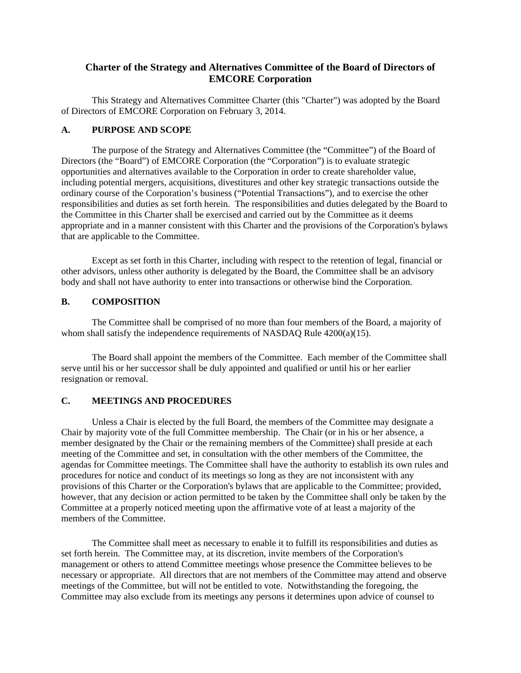# **Charter of the Strategy and Alternatives Committee of the Board of Directors of EMCORE Corporation**

This Strategy and Alternatives Committee Charter (this "Charter") was adopted by the Board of Directors of EMCORE Corporation on February 3, 2014.

#### **A. PURPOSE AND SCOPE**

The purpose of the Strategy and Alternatives Committee (the "Committee") of the Board of Directors (the "Board") of EMCORE Corporation (the "Corporation") is to evaluate strategic opportunities and alternatives available to the Corporation in order to create shareholder value, including potential mergers, acquisitions, divestitures and other key strategic transactions outside the ordinary course of the Corporation's business ("Potential Transactions"), and to exercise the other responsibilities and duties as set forth herein. The responsibilities and duties delegated by the Board to the Committee in this Charter shall be exercised and carried out by the Committee as it deems appropriate and in a manner consistent with this Charter and the provisions of the Corporation's bylaws that are applicable to the Committee.

Except as set forth in this Charter, including with respect to the retention of legal, financial or other advisors, unless other authority is delegated by the Board, the Committee shall be an advisory body and shall not have authority to enter into transactions or otherwise bind the Corporation.

### **B. COMPOSITION**

The Committee shall be comprised of no more than four members of the Board, a majority of whom shall satisfy the independence requirements of NASDAQ Rule 4200(a)(15).

The Board shall appoint the members of the Committee. Each member of the Committee shall serve until his or her successor shall be duly appointed and qualified or until his or her earlier resignation or removal.

#### **C. MEETINGS AND PROCEDURES**

Unless a Chair is elected by the full Board, the members of the Committee may designate a Chair by majority vote of the full Committee membership. The Chair (or in his or her absence, a member designated by the Chair or the remaining members of the Committee) shall preside at each meeting of the Committee and set, in consultation with the other members of the Committee, the agendas for Committee meetings. The Committee shall have the authority to establish its own rules and procedures for notice and conduct of its meetings so long as they are not inconsistent with any provisions of this Charter or the Corporation's bylaws that are applicable to the Committee; provided, however, that any decision or action permitted to be taken by the Committee shall only be taken by the Committee at a properly noticed meeting upon the affirmative vote of at least a majority of the members of the Committee.

The Committee shall meet as necessary to enable it to fulfill its responsibilities and duties as set forth herein. The Committee may, at its discretion, invite members of the Corporation's management or others to attend Committee meetings whose presence the Committee believes to be necessary or appropriate. All directors that are not members of the Committee may attend and observe meetings of the Committee, but will not be entitled to vote. Notwithstanding the foregoing, the Committee may also exclude from its meetings any persons it determines upon advice of counsel to